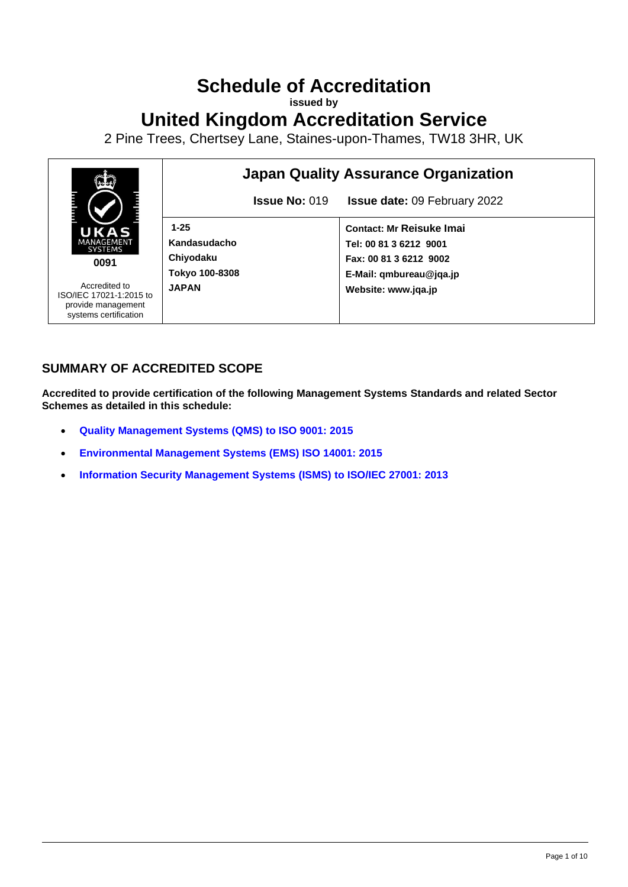# **Schedule of Accreditation**

**issued by**

# **United Kingdom Accreditation Service**

2 Pine Trees, Chertsey Lane, Staines-upon-Thames, TW18 3HR, UK



## **SUMMARY OF ACCREDITED SCOPE**

**Accredited to provide certification of the following Management Systems Standards and related Sector Schemes as detailed in this schedule:**

- **[Quality Management Systems](#page-2-0) (QMS) to ISO 9001: 2015**
- **[Environmental Management Systems](#page-5-0) (EMS) ISO 14001: 2015**
- **[Information Security Management Systems](#page-9-0) (ISMS) to ISO/IEC 27001: 2013**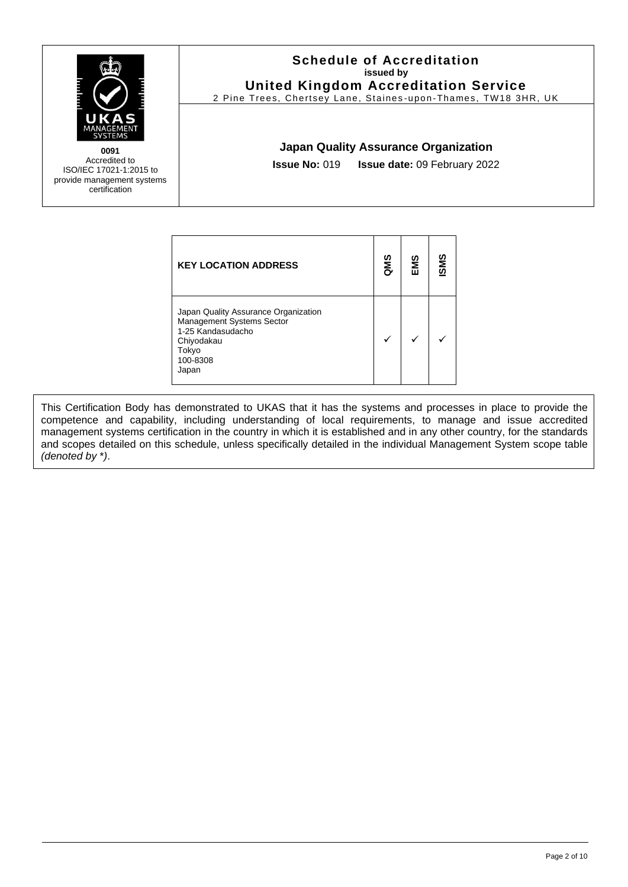

#### **Schedule of Accreditation issued by United Kingdom Accreditation Service**

2 Pine Trees, Chertsey Lane, Staines -upon -Thames, TW18 3HR, UK

#### **Japan Quality Assurance Organization**

**Issue No:** 019 **Issue date:** 09 February 2022

| <b>KEY LOCATION ADDRESS</b>                                                                                                        | QMS | EMS | SMS |
|------------------------------------------------------------------------------------------------------------------------------------|-----|-----|-----|
| Japan Quality Assurance Organization<br>Management Systems Sector<br>1-25 Kandasudacho<br>Chiyodakau<br>Tokyo<br>100-8308<br>Japan |     |     |     |

This Certification Body has demonstrated to UKAS that it has the systems and processes in place to provide the competence and capability, including understanding of local requirements, to manage and issue accredited management systems certification in the country in which it is established and in any other country, for the standards and scopes detailed on this schedule, unless specifically detailed in the individual Management System scope table *(denoted by* \**)*.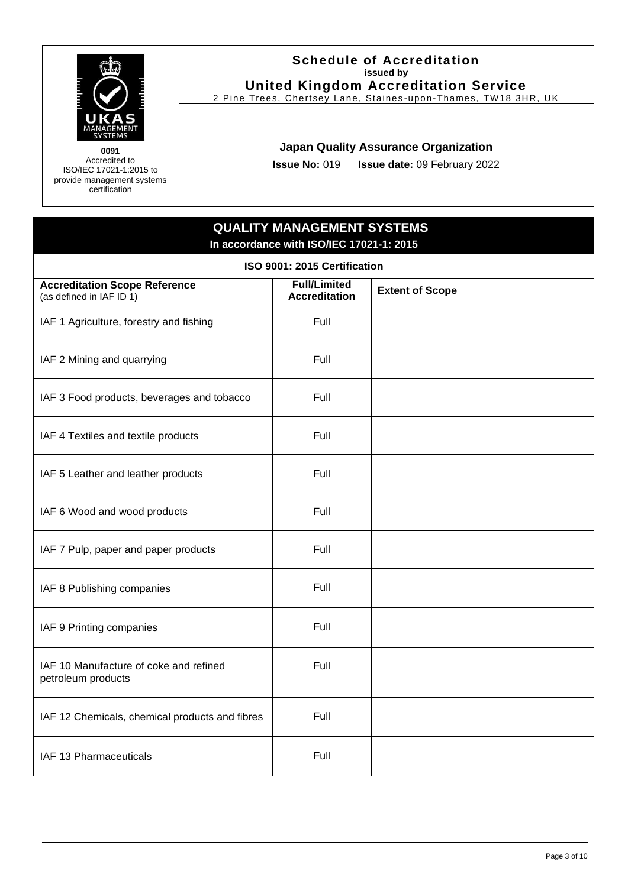

#### **Schedule of Accreditation issued by United Kingdom Accreditation Service**

2 Pine Trees, Chertsey Lane, Staines -upon -Thames, TW18 3HR, UK

### **Japan Quality Assurance Organization**

**Issue No:** 019 **Issue date:** 09 February 2022

# **QUALITY MANAGEMENT SYSTEMS In accordance with ISO/IEC 17021-1: 2015**

<span id="page-2-0"></span>

| ISO 9001: 2015 Certification                                     |                                             |                        |
|------------------------------------------------------------------|---------------------------------------------|------------------------|
| <b>Accreditation Scope Reference</b><br>(as defined in IAF ID 1) | <b>Full/Limited</b><br><b>Accreditation</b> | <b>Extent of Scope</b> |
| IAF 1 Agriculture, forestry and fishing                          | Full                                        |                        |
| IAF 2 Mining and quarrying                                       | Full                                        |                        |
| IAF 3 Food products, beverages and tobacco                       | Full                                        |                        |
| IAF 4 Textiles and textile products                              | Full                                        |                        |
| IAF 5 Leather and leather products                               | Full                                        |                        |
| IAF 6 Wood and wood products                                     | Full                                        |                        |
| IAF 7 Pulp, paper and paper products                             | Full                                        |                        |
| IAF 8 Publishing companies                                       | Full                                        |                        |
| IAF 9 Printing companies                                         | Full                                        |                        |
| IAF 10 Manufacture of coke and refined<br>petroleum products     | Full                                        |                        |
| IAF 12 Chemicals, chemical products and fibres                   | Full                                        |                        |
| IAF 13 Pharmaceuticals                                           | Full                                        |                        |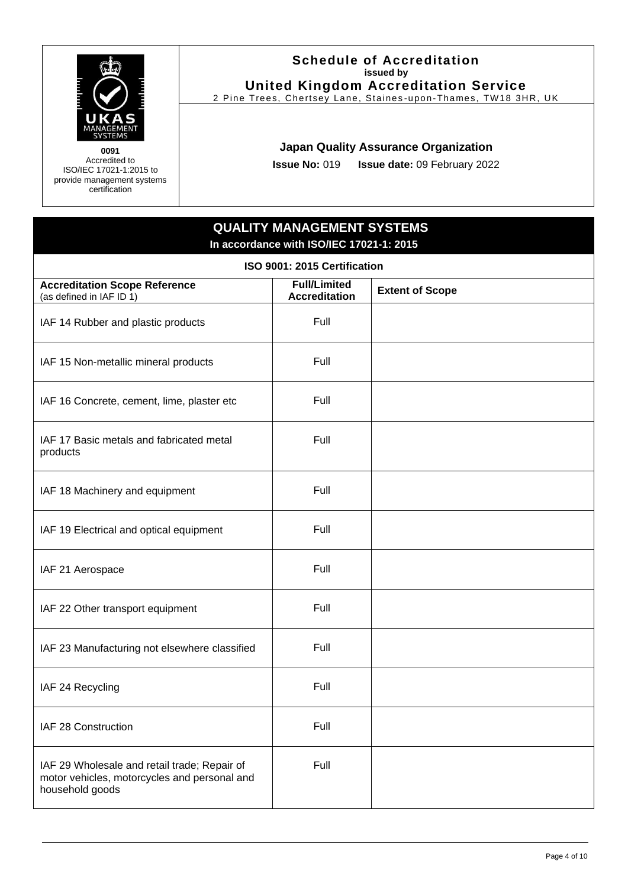

#### **Schedule of Accreditation issued by United Kingdom Accreditation Service**

2 Pine Trees, Chertsey Lane, Staines -upon -Thames, TW18 3HR, UK

### **Japan Quality Assurance Organization**

**Issue No:** 019 **Issue date:** 09 February 2022

### **QUALITY MANAGEMENT SYSTEMS In accordance with ISO/IEC 17021-1: 2015**

| ISO 9001: 2015 Certification                                                                                    |                                             |                        |
|-----------------------------------------------------------------------------------------------------------------|---------------------------------------------|------------------------|
| <b>Accreditation Scope Reference</b><br>(as defined in IAF ID 1)                                                | <b>Full/Limited</b><br><b>Accreditation</b> | <b>Extent of Scope</b> |
| IAF 14 Rubber and plastic products                                                                              | Full                                        |                        |
| IAF 15 Non-metallic mineral products                                                                            | Full                                        |                        |
| IAF 16 Concrete, cement, lime, plaster etc                                                                      | Full                                        |                        |
| IAF 17 Basic metals and fabricated metal<br>products                                                            | Full                                        |                        |
| IAF 18 Machinery and equipment                                                                                  | Full                                        |                        |
| IAF 19 Electrical and optical equipment                                                                         | Full                                        |                        |
| IAF 21 Aerospace                                                                                                | Full                                        |                        |
| IAF 22 Other transport equipment                                                                                | Full                                        |                        |
| IAF 23 Manufacturing not elsewhere classified                                                                   | Full                                        |                        |
| IAF 24 Recycling                                                                                                | Full                                        |                        |
| IAF 28 Construction                                                                                             | Full                                        |                        |
| IAF 29 Wholesale and retail trade; Repair of<br>motor vehicles, motorcycles and personal and<br>household goods | Full                                        |                        |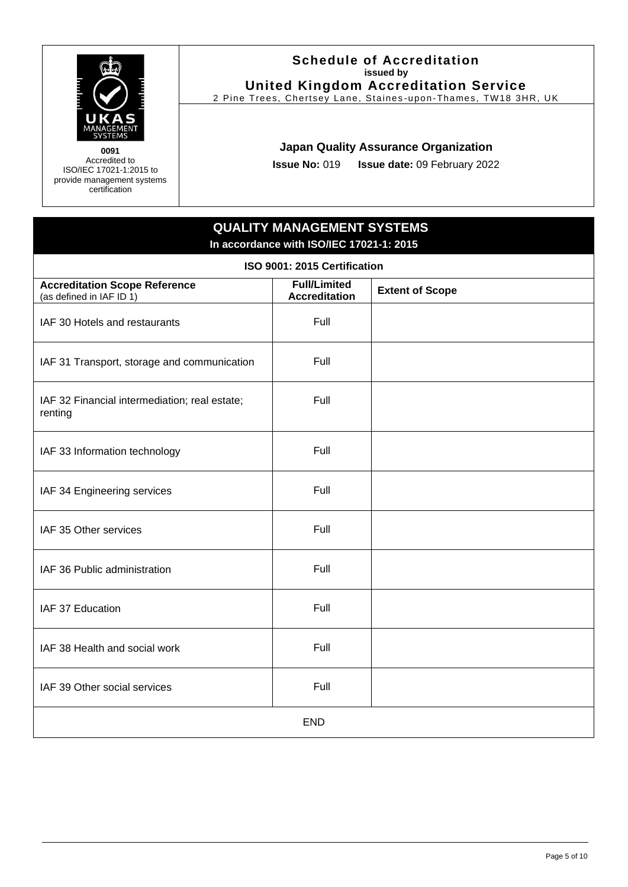

#### **Schedule of Accreditation issued by United Kingdom Accreditation Service**

2 Pine Trees, Chertsey Lane, Staines -upon -Thames, TW18 3HR, UK

### **Japan Quality Assurance Organization**

**Issue No:** 019 **Issue date:** 09 February 2022

# **QUALITY MANAGEMENT SYSTEMS In accordance with ISO/IEC 17021-1: 2015**

| ISO 9001: 2015 Certification                                     |                                             |                        |
|------------------------------------------------------------------|---------------------------------------------|------------------------|
| <b>Accreditation Scope Reference</b><br>(as defined in IAF ID 1) | <b>Full/Limited</b><br><b>Accreditation</b> | <b>Extent of Scope</b> |
| IAF 30 Hotels and restaurants                                    | Full                                        |                        |
| IAF 31 Transport, storage and communication                      | Full                                        |                        |
| IAF 32 Financial intermediation; real estate;<br>renting         | Full                                        |                        |
| IAF 33 Information technology                                    | Full                                        |                        |
| IAF 34 Engineering services                                      | Full                                        |                        |
| IAF 35 Other services                                            | Full                                        |                        |
| IAF 36 Public administration                                     | Full                                        |                        |
| IAF 37 Education                                                 | Full                                        |                        |
| IAF 38 Health and social work                                    | Full                                        |                        |
| IAF 39 Other social services                                     | Full                                        |                        |
| <b>END</b>                                                       |                                             |                        |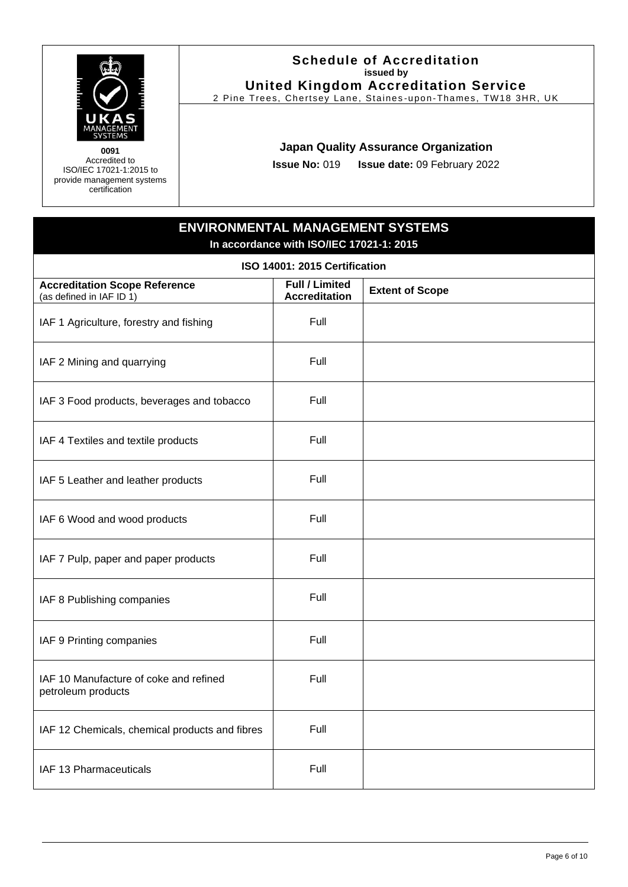

#### **Schedule of Accreditation issued by United Kingdom Accreditation Service**

2 Pine Trees, Chertsey Lane, Staines -upon -Thames, TW18 3HR, UK

#### **Japan Quality Assurance Organization**

**Issue No:** 019 **Issue date:** 09 February 2022

# **ENVIRONMENTAL MANAGEMENT SYSTEMS In accordance with ISO/IEC 17021-1: 2015**

<span id="page-5-0"></span>

| ISO 14001: 2015 Certification                                    |                                               |                        |
|------------------------------------------------------------------|-----------------------------------------------|------------------------|
| <b>Accreditation Scope Reference</b><br>(as defined in IAF ID 1) | <b>Full / Limited</b><br><b>Accreditation</b> | <b>Extent of Scope</b> |
| IAF 1 Agriculture, forestry and fishing                          | Full                                          |                        |
| IAF 2 Mining and quarrying                                       | Full                                          |                        |
| IAF 3 Food products, beverages and tobacco                       | Full                                          |                        |
| IAF 4 Textiles and textile products                              | Full                                          |                        |
| IAF 5 Leather and leather products                               | Full                                          |                        |
| IAF 6 Wood and wood products                                     | Full                                          |                        |
| IAF 7 Pulp, paper and paper products                             | Full                                          |                        |
| IAF 8 Publishing companies                                       | Full                                          |                        |
| IAF 9 Printing companies                                         | Full                                          |                        |
| IAF 10 Manufacture of coke and refined<br>petroleum products     | Full                                          |                        |
| IAF 12 Chemicals, chemical products and fibres                   | Full                                          |                        |
| IAF 13 Pharmaceuticals                                           | Full                                          |                        |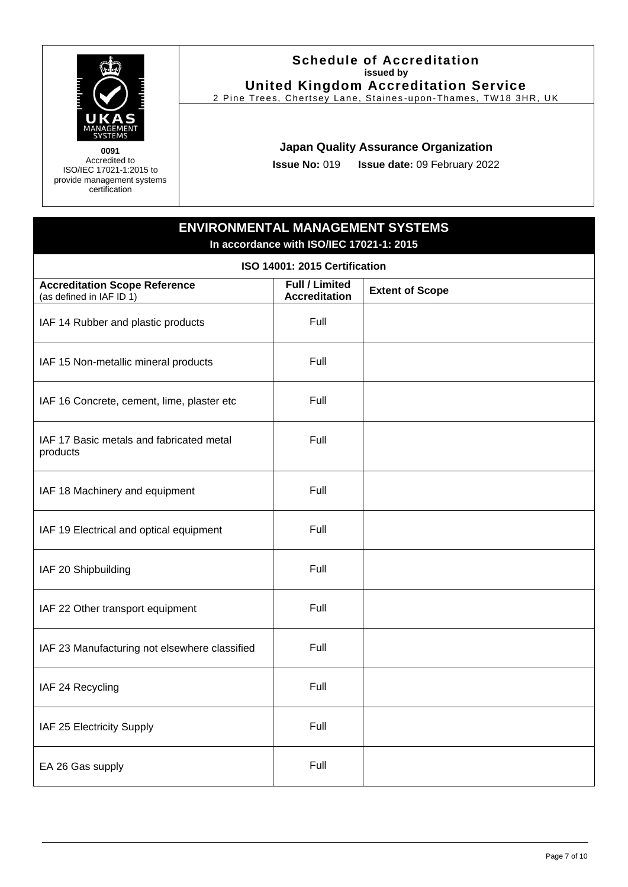

#### **Schedule of Accreditation issued by United Kingdom Accreditation Service**

2 Pine Trees, Chertsey Lane, Staines -upon -Thames, TW18 3HR, UK

### **Japan Quality Assurance Organization**

**Issue No:** 019 **Issue date:** 09 February 2022

## **ENVIRONMENTAL MANAGEMENT SYSTEMS In accordance with ISO/IEC 17021-1: 2015**

| ISO 14001: 2015 Certification                                    |                                               |                        |
|------------------------------------------------------------------|-----------------------------------------------|------------------------|
| <b>Accreditation Scope Reference</b><br>(as defined in IAF ID 1) | <b>Full / Limited</b><br><b>Accreditation</b> | <b>Extent of Scope</b> |
| IAF 14 Rubber and plastic products                               | Full                                          |                        |
| IAF 15 Non-metallic mineral products                             | Full                                          |                        |
| IAF 16 Concrete, cement, lime, plaster etc                       | Full                                          |                        |
| IAF 17 Basic metals and fabricated metal<br>products             | Full                                          |                        |
| IAF 18 Machinery and equipment                                   | Full                                          |                        |
| IAF 19 Electrical and optical equipment                          | Full                                          |                        |
| IAF 20 Shipbuilding                                              | Full                                          |                        |
| IAF 22 Other transport equipment                                 | Full                                          |                        |
| IAF 23 Manufacturing not elsewhere classified                    | Full                                          |                        |
| IAF 24 Recycling                                                 | Full                                          |                        |
| IAF 25 Electricity Supply                                        | Full                                          |                        |
| EA 26 Gas supply                                                 | Full                                          |                        |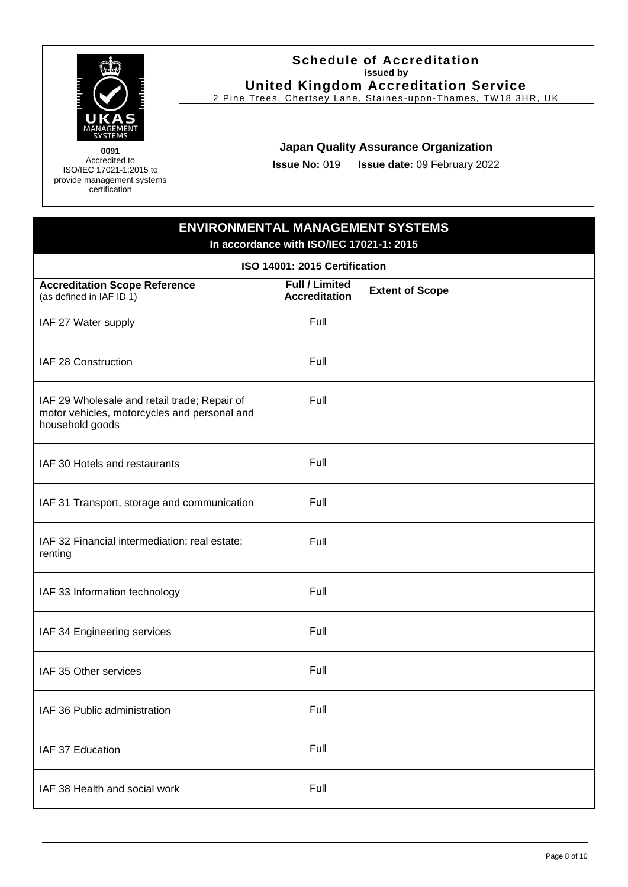

#### **Schedule of Accreditation issued by United Kingdom Accreditation Service**

2 Pine Trees, Chertsey Lane, Staines -upon -Thames, TW18 3HR, UK

#### **Japan Quality Assurance Organization**

**Issue No:** 019 **Issue date:** 09 February 2022

# **ENVIRONMENTAL MANAGEMENT SYSTEMS In accordance with ISO/IEC 17021-1: 2015**

| ISO 14001: 2015 Certification                                                                                   |                                        |                        |
|-----------------------------------------------------------------------------------------------------------------|----------------------------------------|------------------------|
| <b>Accreditation Scope Reference</b><br>(as defined in IAF ID 1)                                                | Full / Limited<br><b>Accreditation</b> | <b>Extent of Scope</b> |
| IAF 27 Water supply                                                                                             | Full                                   |                        |
| IAF 28 Construction                                                                                             | Full                                   |                        |
| IAF 29 Wholesale and retail trade; Repair of<br>motor vehicles, motorcycles and personal and<br>household goods | Full                                   |                        |
| IAF 30 Hotels and restaurants                                                                                   | Full                                   |                        |
| IAF 31 Transport, storage and communication                                                                     | Full                                   |                        |
| IAF 32 Financial intermediation; real estate;<br>renting                                                        | Full                                   |                        |
| IAF 33 Information technology                                                                                   | Full                                   |                        |
| IAF 34 Engineering services                                                                                     | Full                                   |                        |
| IAF 35 Other services                                                                                           | Full                                   |                        |
| IAF 36 Public administration                                                                                    | Full                                   |                        |
| IAF 37 Education                                                                                                | Full                                   |                        |
| IAF 38 Health and social work                                                                                   | Full                                   |                        |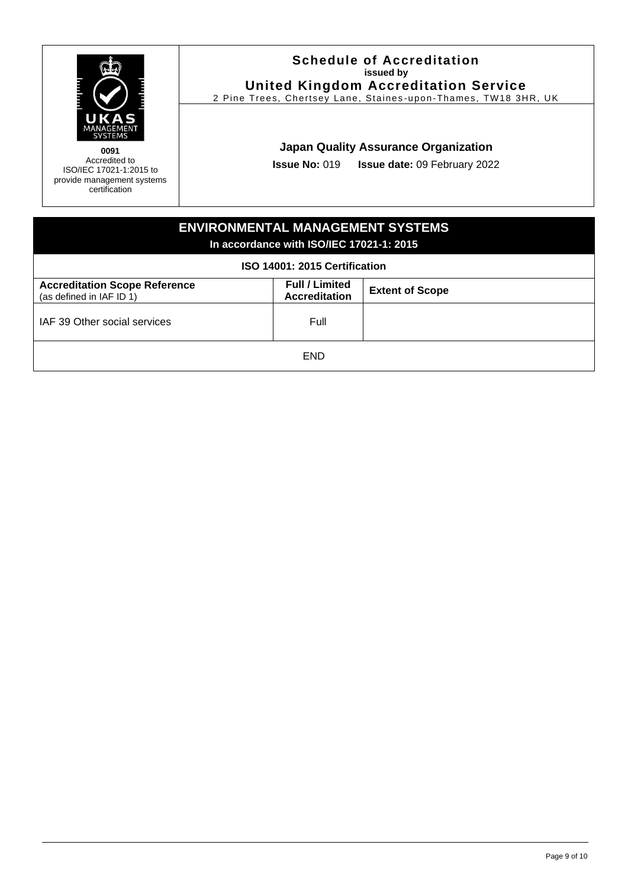

#### **Schedule of Accreditation issued by United Kingdom Accreditation Service**

2 Pine Trees, Chertsey Lane, Staines -upon -Thames, TW18 3HR, UK

#### **Japan Quality Assurance Organization**

**Issue No:** 019 **Issue date:** 09 February 2022

# **ENVIRONMENTAL MANAGEMENT SYSTEMS In accordance with ISO/IEC 17021-1: 2015 ISO 14001: 2015 Certification Accreditation Scope Reference** (as defined in IAF ID 1) **Full / Limited Extent of Scope** IAF 39 Other social services Full Full END